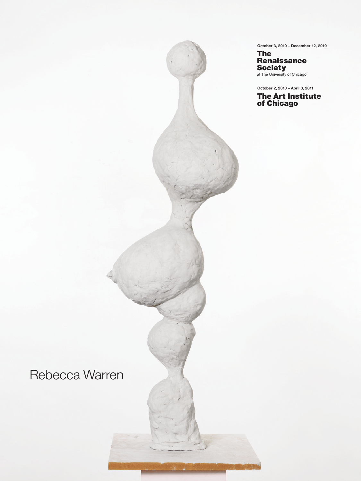